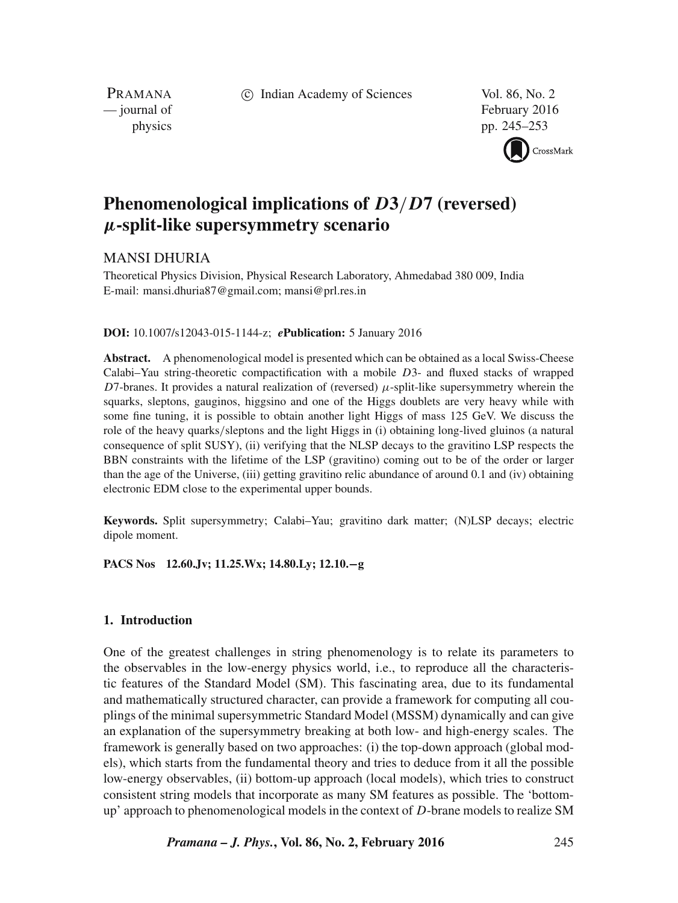c Indian Academy of Sciences Vol. 86, No. 2

PRAMANA

— journal of February 2016 physics pp. 245–253



# **Phenomenological implications of** D**3**/D**7 (reversed)** µ**-split-like supersymmetry scenario**

## MANSI DHURIA

Theoretical Physics Division, Physical Research Laboratory, Ahmedabad 380 009, India E-mail: mansi.dhuria87@gmail.com; mansi@prl.res.in

#### **DOI:** 10.1007/s12043-015-1144-z; *e***Publication:** 5 January 2016

**Abstract.** A phenomenological model is presented which can be obtained as a local Swiss-Cheese Calabi–Yau string-theoretic compactification with a mobile D3- and fluxed stacks of wrapped D7-branes. It provides a natural realization of (reversed)  $\mu$ -split-like supersymmetry wherein the squarks, sleptons, gauginos, higgsino and one of the Higgs doublets are very heavy while with some fine tuning, it is possible to obtain another light Higgs of mass 125 GeV. We discuss the role of the heavy quarks/sleptons and the light Higgs in (i) obtaining long-lived gluinos (a natural consequence of split SUSY), (ii) verifying that the NLSP decays to the gravitino LSP respects the BBN constraints with the lifetime of the LSP (gravitino) coming out to be of the order or larger than the age of the Universe, (iii) getting gravitino relic abundance of around 0.1 and (iv) obtaining electronic EDM close to the experimental upper bounds.

**Keywords.** Split supersymmetry; Calabi–Yau; gravitino dark matter; (N)LSP decays; electric dipole moment.

**PACS Nos 12.60.Jv; 11.25.Wx; 14.80.Ly; 12.10.**−**g**

### **1. Introduction**

One of the greatest challenges in string phenomenology is to relate its parameters to the observables in the low-energy physics world, i.e., to reproduce all the characteristic features of the Standard Model (SM). This fascinating area, due to its fundamental and mathematically structured character, can provide a framework for computing all couplings of the minimal supersymmetric Standard Model (MSSM) dynamically and can give an explanation of the supersymmetry breaking at both low- and high-energy scales. The framework is generally based on two approaches: (i) the top-down approach (global models), which starts from the fundamental theory and tries to deduce from it all the possible low-energy observables, (ii) bottom-up approach (local models), which tries to construct consistent string models that incorporate as many SM features as possible. The 'bottomup' approach to phenomenological models in the context of  $D$ -brane models to realize SM

*Pramana – J. Phys.***, Vol. 86, No. 2, February 2016** 245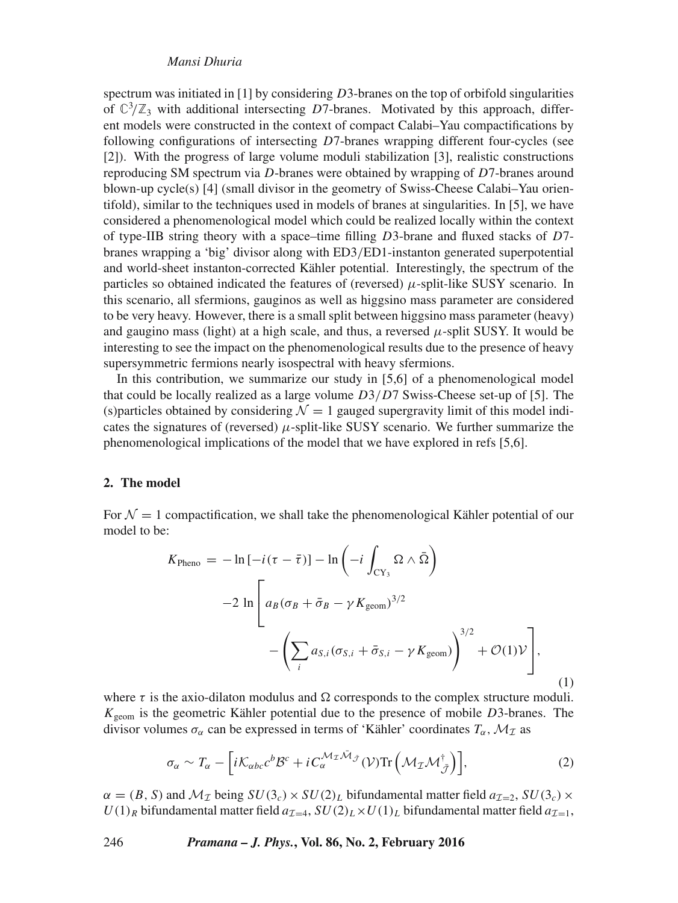#### *Mansi Dhuria*

spectrum was initiated in  $[1]$  by considering D3-branes on the top of orbifold singularities of  $\mathbb{C}^3/\mathbb{Z}_3$  with additional intersecting D7-branes. Motivated by this approach, different models were constructed in the context of compact Calabi–Yau compactifications by following configurations of intersecting D7-branes wrapping different four-cycles (see [2]). With the progress of large volume moduli stabilization [3], realistic constructions reproducing SM spectrum via D-branes were obtained by wrapping of D7-branes around blown-up cycle(s) [4] (small divisor in the geometry of Swiss-Cheese Calabi–Yau orientifold), similar to the techniques used in models of branes at singularities. In [5], we have considered a phenomenological model which could be realized locally within the context of type-IIB string theory with a space–time filling  $D3$ -brane and fluxed stacks of  $D7$ branes wrapping a 'big' divisor along with ED3/ED1-instanton generated superpotential and world-sheet instanton-corrected Kähler potential. Interestingly, the spectrum of the particles so obtained indicated the features of (reversed)  $\mu$ -split-like SUSY scenario. In this scenario, all sfermions, gauginos as well as higgsino mass parameter are considered to be very heavy. However, there is a small split between higgsino mass parameter (heavy) and gaugino mass (light) at a high scale, and thus, a reversed  $\mu$ -split SUSY. It would be interesting to see the impact on the phenomenological results due to the presence of heavy supersymmetric fermions nearly isospectral with heavy sfermions.

In this contribution, we summarize our study in [5,6] of a phenomenological model that could be locally realized as a large volume  $D3/D7$  Swiss-Cheese set-up of [5]. The (s)particles obtained by considering  $\mathcal{N} = 1$  gauged supergravity limit of this model indicates the signatures of (reversed)  $\mu$ -split-like SUSY scenario. We further summarize the phenomenological implications of the model that we have explored in refs [5,6].

## **2. The model**

For  $\mathcal{N} = 1$  compactification, we shall take the phenomenological Kähler potential of our model to be:

$$
K_{\text{Pheno}} = -\ln\left[-i(\tau - \bar{\tau})\right] - \ln\left(-i\int_{CY_3} \Omega \wedge \bar{\Omega}\right)
$$

$$
-2\ln\left[a_B(\sigma_B + \bar{\sigma}_B - \gamma K_{\text{geom}})^{3/2}\right]
$$

$$
-\left(\sum_i a_{S,i}(\sigma_{S,i} + \bar{\sigma}_{S,i} - \gamma K_{\text{geom}})\right)^{3/2} + \mathcal{O}(1)\mathcal{V}\right],
$$
(1)

where  $\tau$  is the axio-dilaton modulus and  $\Omega$  corresponds to the complex structure moduli.  $K_{\text{geom}}$  is the geometric Kähler potential due to the presence of mobile  $D3$ -branes. The divisor volumes  $\sigma_{\alpha}$  can be expressed in terms of 'Kähler' coordinates  $T_{\alpha}$ ,  $\mathcal{M}_{\mathcal{I}}$  as

$$
\sigma_{\alpha} \sim T_{\alpha} - \left[ i \mathcal{K}_{\alpha bc} c^{b} \mathcal{B}^{c} + i C_{\alpha}^{\mathcal{M}_{\mathcal{I}} \bar{\mathcal{M}}_{\tilde{\mathcal{J}}}} (\mathcal{V}) \text{Tr} \left( \mathcal{M}_{\mathcal{I}} \mathcal{M}_{\tilde{\mathcal{J}}}^{\dagger} \right) \right],
$$
 (2)

 $\alpha = (B, S)$  and  $\mathcal{M}_\mathcal{I}$  being  $SU(3_c) \times SU(2)_L$  bifundamental matter field  $a_{\mathcal{I}=2}$ ,  $SU(3_c) \times$  $U(1)_R$  bifundamental matter field  $a_{\mathcal{I}=4}$ ,  $SU(2)_L\times U(1)_L$  bifundamental matter field  $a_{\mathcal{I}=1}$ ,

246 *Pramana – J. Phys.***, Vol. 86, No. 2, February 2016**

$$
246
$$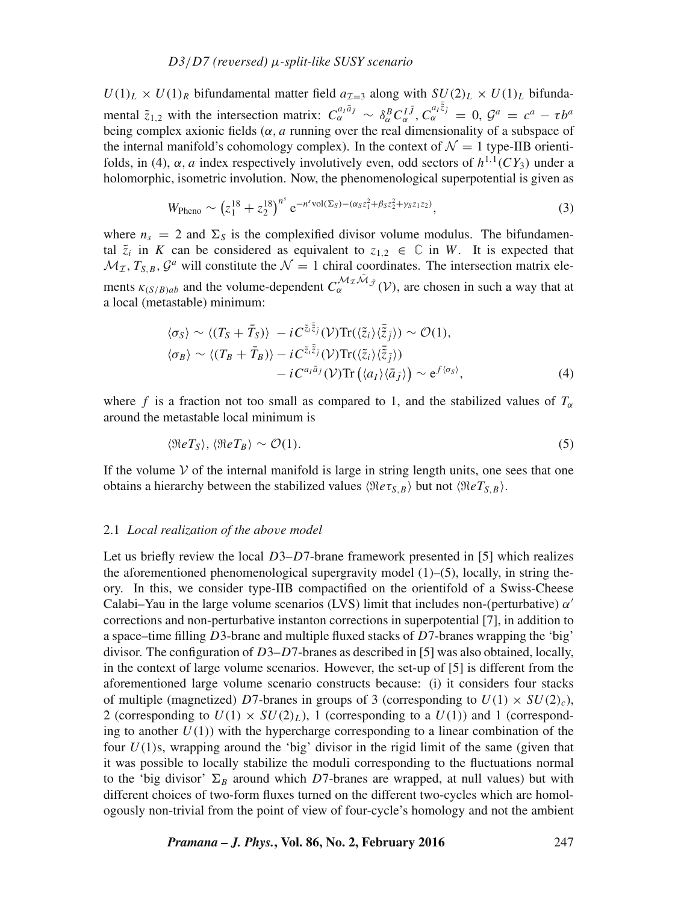$U(1)_L \times U(1)_R$  bifundamental matter field  $a_{\tau=3}$  along with  $SU(2)_L \times U(1)_L$  bifundamental  $\tilde{z}_{1,2}$  with the intersection matrix:  $C_{\alpha}^{a_i \bar{a}_j} \sim \delta_{\alpha}^B C_{\alpha}^{I \bar{J}}$ ,  $C_{\alpha}^{a_i \bar{\bar{z}}_j} = 0$ ,  $\mathcal{G}^a = c^a - \tau b^a$ being complex axionic fields ( $\alpha$ , a running over the real dimensionality of a subspace of the internal manifold's cohomology complex). In the context of  $\mathcal{N} = 1$  type-IIB orientifolds, in (4),  $\alpha$ , a index respectively involutively even, odd sectors of  $h^{1,1}(CY_3)$  under a holomorphic, isometric involution. Now, the phenomenological superpotential is given as

$$
W_{\text{Pheno}} \sim \left(z_1^{18} + z_2^{18}\right)^{n^s} e^{-n^s \text{vol}(\Sigma_S) - (\alpha_S z_1^2 + \beta_S z_2^2 + \gamma_S z_1 z_2)},\tag{3}
$$

where  $n_s = 2$  and  $\Sigma_s$  is the complexified divisor volume modulus. The bifundamental  $\tilde{z}_i$  in K can be considered as equivalent to  $z_{1,2} \in \mathbb{C}$  in W. It is expected that  $\mathcal{M}_{\mathcal{I}}, T_{S,B}, \mathcal{G}^a$  will constitute the  $\mathcal{N} = 1$  chiral coordinates. The intersection matrix elements  $\kappa_{(S/B)ab}$  and the volume-dependent  $C_{\alpha}^{\mathcal{M}_\mathcal{I}\bar{\mathcal{M}}_j}(\mathcal{V})$ , are chosen in such a way that at a local (metastable) minimum:

$$
\langle \sigma_S \rangle \sim \langle (T_S + \bar{T}_S) \rangle - i C^{\tilde{z}_i \bar{\tilde{z}}_j} (\mathcal{V}) \text{Tr}(\langle \tilde{z}_i \rangle \langle \bar{\tilde{z}}_j \rangle) \sim \mathcal{O}(1), \langle \sigma_B \rangle \sim \langle (T_B + \bar{T}_B) \rangle - i C^{\tilde{z}_i \bar{\tilde{z}}_j} (\mathcal{V}) \text{Tr}(\langle \tilde{z}_i \rangle \langle \bar{\tilde{z}}_j \rangle) \n- i C^{a_i \bar{a}_j} (\mathcal{V}) \text{Tr}(\langle a_i \rangle \langle \bar{a}_j \rangle) \sim e^{f \langle \sigma_S \rangle},
$$
\n(4)

where f is a fraction not too small as compared to 1, and the stabilized values of  $T_{\alpha}$ around the metastable local minimum is

$$
\langle \Re e T_S \rangle, \langle \Re e T_B \rangle \sim \mathcal{O}(1). \tag{5}
$$

If the volume  $V$  of the internal manifold is large in string length units, one sees that one obtains a hierarchy between the stabilized values  $\langle \Re e \tau_{S,B} \rangle$  but not  $\langle \Re e T_{S,B} \rangle$ .

#### 2.1 *Local realization of the abo*v*e model*

Let us briefly review the local  $D3-D7$ -brane framework presented in [5] which realizes the aforementioned phenomenological supergravity model  $(1)$ – $(5)$ , locally, in string theory. In this, we consider type-IIB compactified on the orientifold of a Swiss-Cheese Calabi–Yau in the large volume scenarios (LVS) limit that includes non-(perturbative)  $\alpha'$ corrections and non-perturbative instanton corrections in superpotential [7], in addition to a space–time filling D3-brane and multiple fluxed stacks of D7-branes wrapping the 'big' divisor. The configuration of  $D3-D7$ -branes as described in [5] was also obtained, locally, in the context of large volume scenarios. However, the set-up of [5] is different from the aforementioned large volume scenario constructs because: (i) it considers four stacks of multiple (magnetized) D7-branes in groups of 3 (corresponding to  $U(1) \times SU(2)_{c}$ ), 2 (corresponding to  $U(1) \times SU(2)_L$ ), 1 (corresponding to a  $U(1)$ ) and 1 (corresponding to another  $U(1)$ ) with the hypercharge corresponding to a linear combination of the four  $U(1)$ s, wrapping around the 'big' divisor in the rigid limit of the same (given that it was possible to locally stabilize the moduli corresponding to the fluctuations normal to the 'big divisor'  $\Sigma_B$  around which D7-branes are wrapped, at null values) but with different choices of two-form fluxes turned on the different two-cycles which are homologously non-trivial from the point of view of four-cycle's homology and not the ambient

*Pramana – J. Phys.***, Vol. 86, No. 2, February 2016** 247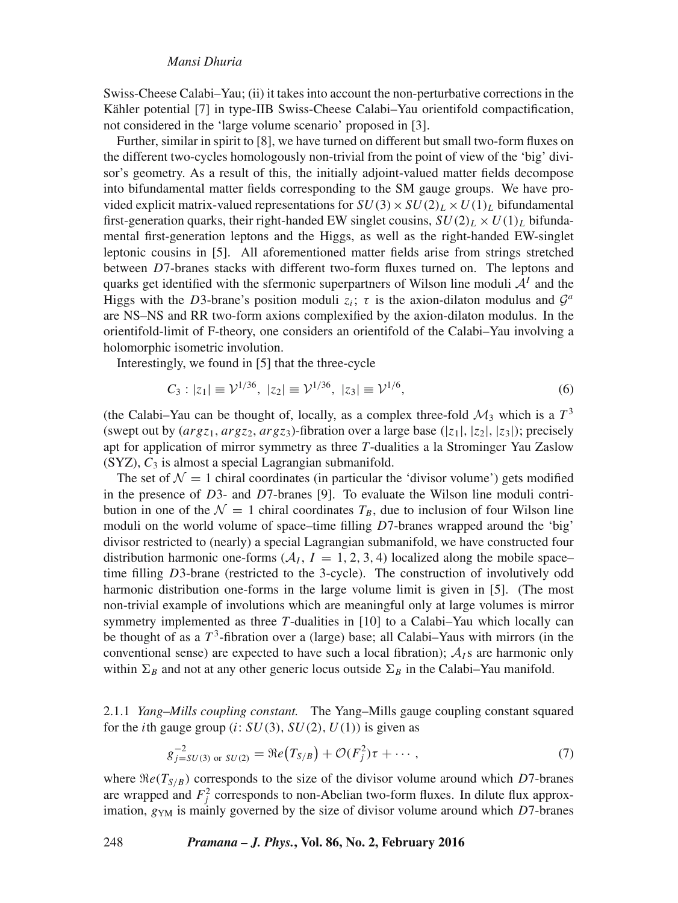Swiss-Cheese Calabi–Yau; (ii) it takes into account the non-perturbative corrections in the Kähler potential [7] in type-IIB Swiss-Cheese Calabi–Yau orientifold compactification, not considered in the 'large volume scenario' proposed in [3].

Further, similar in spirit to [8], we have turned on different but small two-form fluxes on the different two-cycles homologously non-trivial from the point of view of the 'big' divisor's geometry. As a result of this, the initially adjoint-valued matter fields decompose into bifundamental matter fields corresponding to the SM gauge groups. We have provided explicit matrix-valued representations for  $SU(3) \times SU(2)_L \times U(1)_L$  bifundamental first-generation quarks, their right-handed EW singlet cousins,  $SU(2)_L \times U(1)_L$  bifundamental first-generation leptons and the Higgs, as well as the right-handed EW-singlet leptonic cousins in [5]. All aforementioned matter fields arise from strings stretched between D7-branes stacks with different two-form fluxes turned on. The leptons and quarks get identified with the sfermonic superpartners of Wilson line moduli  $A<sup>I</sup>$  and the Higgs with the D3-brane's position moduli  $z_i$ ;  $\tau$  is the axion-dilaton modulus and  $\mathcal{G}^a$ are NS–NS and RR two-form axions complexified by the axion-dilaton modulus. In the orientifold-limit of F-theory, one considers an orientifold of the Calabi–Yau involving a holomorphic isometric involution.

Interestingly, we found in [5] that the three-cycle

$$
C_3: |z_1| \equiv \mathcal{V}^{1/36}, \ |z_2| \equiv \mathcal{V}^{1/36}, \ |z_3| \equiv \mathcal{V}^{1/6}, \tag{6}
$$

(the Calabi–Yau can be thought of, locally, as a complex three-fold  $\mathcal{M}_3$  which is a  $T^3$ (swept out by  $(\arg z_1, \arg z_2, \arg z_3)$ -fibration over a large base ( $|z_1|, |z_2|, |z_3|$ ); precisely apt for application of mirror symmetry as three *T*-dualities a la Strominger Yau Zaslow  $(SYZ)$ ,  $C_3$  is almost a special Lagrangian submanifold.

The set of  $\mathcal{N} = 1$  chiral coordinates (in particular the 'divisor volume') gets modified in the presence of  $D3$ - and  $D7$ -branes [9]. To evaluate the Wilson line moduli contribution in one of the  $\mathcal{N} = 1$  chiral coordinates  $T_B$ , due to inclusion of four Wilson line moduli on the world volume of space–time filling  $D$ 7-branes wrapped around the 'big' divisor restricted to (nearly) a special Lagrangian submanifold, we have constructed four distribution harmonic one-forms ( $A<sub>I</sub>$ ,  $I = 1, 2, 3, 4$ ) localized along the mobile spacetime filling D3-brane (restricted to the 3-cycle). The construction of involutively odd harmonic distribution one-forms in the large volume limit is given in [5]. (The most non-trivial example of involutions which are meaningful only at large volumes is mirror symmetry implemented as three *T*-dualities in [10] to a Calabi–Yau which locally can be thought of as a  $T^3$ -fibration over a (large) base; all Calabi–Yaus with mirrors (in the conventional sense) are expected to have such a local fibration);  $A<sub>I</sub>$  s are harmonic only within  $\Sigma_B$  and not at any other generic locus outside  $\Sigma_B$  in the Calabi–Yau manifold.

2.1.1 *Yang–Mills coupling constant.* The Yang–Mills gauge coupling constant squared for the *i*th gauge group (*i*:  $SU(3)$ ,  $SU(2)$ ,  $U(1)$ ) is given as

$$
g_{j=SU(3) \text{ or } SU(2)}^{-2} = \Re(e(T_{S/B}) + \mathcal{O}(F_j^2)\tau + \cdots, \qquad (7)
$$

where  $\Re e(T_{S/B})$  corresponds to the size of the divisor volume around which D7-branes are wrapped and  $F_j^2$  corresponds to non-Abelian two-form fluxes. In dilute flux approximation,  $g_{YM}$  is mainly governed by the size of divisor volume around which D7-branes

248 *Pramana – J. Phys.***, Vol. 86, No. 2, February 2016**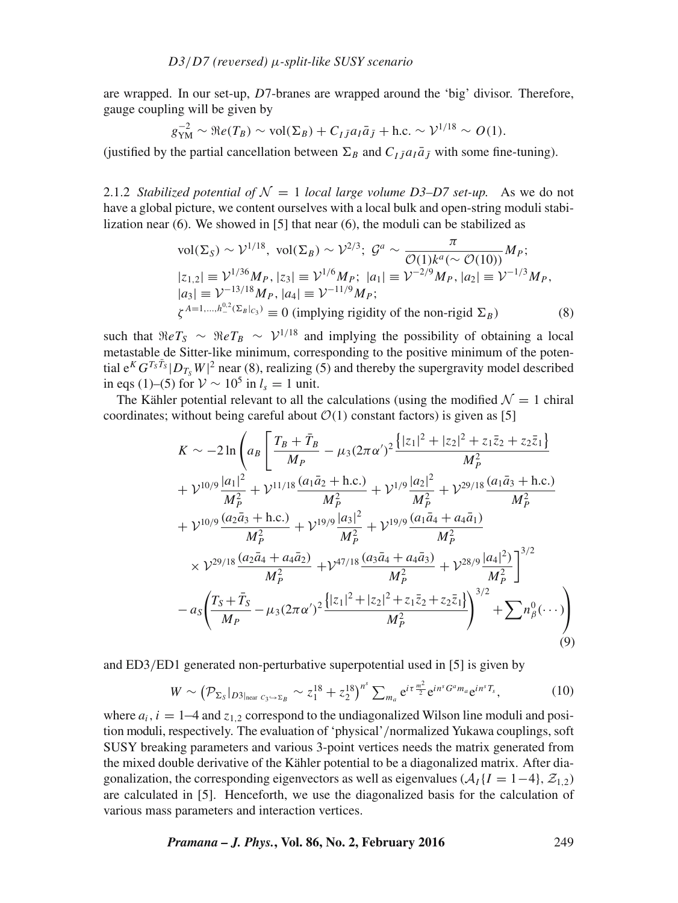are wrapped. In our set-up, D7-branes are wrapped around the 'big' divisor. Therefore, gauge coupling will be given by

$$
g_{\rm YM}^{-2} \sim \Re e(T_B) \sim \text{vol}(\Sigma_B) + C_{I\bar{J}} a_I \bar{a}_{\bar{J}} + \text{h.c.} \sim \mathcal{V}^{1/18} \sim O(1).
$$

(justified by the partial cancellation between  $\Sigma_B$  and  $C_I \bar{\jmath} a_I \bar{a}_{\bar{I}}$  with some fine-tuning).

2.1.2 *Stabilized potential of*  $\mathcal{N} = 1$  *local large volume D3–D7 set-up.* As we do not have a global picture, we content ourselves with a local bulk and open-string moduli stabilization near (6). We showed in [5] that near (6), the moduli can be stabilized as

$$
\text{vol}(\Sigma_S) \sim \mathcal{V}^{1/18}, \text{ vol}(\Sigma_B) \sim \mathcal{V}^{2/3}; \ \mathcal{G}^a \sim \frac{\pi}{\mathcal{O}(1)k^a(\sim \mathcal{O}(10))} M_P; \n|z_{1,2}| \equiv \mathcal{V}^{1/36} M_P, |z_3| \equiv \mathcal{V}^{1/6} M_P; \ |a_1| \equiv \mathcal{V}^{-2/9} M_P, |a_2| \equiv \mathcal{V}^{-1/3} M_P, \n|a_3| \equiv \mathcal{V}^{-13/18} M_P, |a_4| \equiv \mathcal{V}^{-11/9} M_P; \n\zeta^{A=1,\dots,h^{0.2}_-(\Sigma_B|_{C_3})} \equiv 0 \text{ (implying rigidity of the non-rigid } \Sigma_B \text{)}
$$
\n(8)

such that  $\Re eT_S \sim \Re eT_B \sim V^{1/18}$  and implying the possibility of obtaining a local metastable de Sitter-like minimum, corresponding to the positive minimum of the potential  $e^{K} G^{T_S \bar{T}_S} |D_{T_S} W|^2$  near (8), realizing (5) and thereby the supergravity model described in eqs (1)–(5) for  $V \sim 10^5$  in  $l_s = 1$  unit.

The Kähler potential relevant to all the calculations (using the modified  $\mathcal{N} = 1$  chiral coordinates; without being careful about  $\mathcal{O}(1)$  constant factors) is given as [5]

$$
K \sim -2\ln\left(a_B\left[\frac{T_B + \bar{T}_B}{M_P} - \mu_3(2\pi\alpha')^2 \frac{\{|z_1|^2 + |z_2|^2 + z_1\bar{z}_2 + z_2\bar{z}_1\}}{M_P^2}\right.\right.+ \mathcal{V}^{10/9} \frac{|a_1|^2}{M_P^2} + \mathcal{V}^{11/18} \frac{(a_1\bar{a}_2 + \text{h.c.})}{M_P^2} + \mathcal{V}^{1/9} \frac{|a_2|^2}{M_P^2} + \mathcal{V}^{29/18} \frac{(a_1\bar{a}_3 + \text{h.c.})}{M_P^2} + \mathcal{V}^{10/9} \frac{(a_2\bar{a}_3 + \text{h.c.})}{M_P^2} + \mathcal{V}^{19/9} \frac{|a_3|^2}{M_P^2} + \mathcal{V}^{19/9} \frac{(a_1\bar{a}_4 + a_4\bar{a}_1)}{M_P^2} \times \mathcal{V}^{29/18} \frac{(a_2\bar{a}_4 + a_4\bar{a}_2)}{M_P^2} + \mathcal{V}^{47/18} \frac{(a_3\bar{a}_4 + a_4\bar{a}_3)}{M_P^2} + \mathcal{V}^{28/9} \frac{|a_4|^2}{M_P^2}\right]^{3/2} - a_5\left(\frac{T_S + \bar{T}_S}{M_P} - \mu_3(2\pi\alpha')^2 \frac{\{|z_1|^2 + |z_2|^2 + z_1\bar{z}_2 + z_2\bar{z}_1\}}{M_P^2}\right)^{3/2} + \sum n_\beta^0(\cdots)\right)
$$
(9)

and ED3/ED1 generated non-perturbative superpotential used in [5] is given by

$$
W \sim \left(\mathcal{P}_{\Sigma_{S}}|_{D3|_{\text{near }C_{3}\hookrightarrow\Sigma_{B}}} \sim z_{1}^{18} + z_{2}^{18}\right)^{n^{s}} \sum_{m_{a}} e^{i\tau \frac{m^{2}}{2}} e^{in^{s}G^{a}m_{a}} e^{in^{s}T_{s}}, \tag{10}
$$

where  $a_i$ ,  $i = 1-4$  and  $z_{1,2}$  correspond to the undiagonalized Wilson line moduli and position moduli, respectively. The evaluation of 'physical'/normalized Yukawa couplings, soft SUSY breaking parameters and various 3-point vertices needs the matrix generated from the mixed double derivative of the Kähler potential to be a diagonalized matrix. After diagonalization, the corresponding eigenvectors as well as eigenvalues  $(A_I \{I = 1-4\}, Z_{1,2})$ are calculated in [5]. Henceforth, we use the diagonalized basis for the calculation of various mass parameters and interaction vertices.

*Pramana – J. Phys.***, Vol. 86, No. 2, February 2016** 249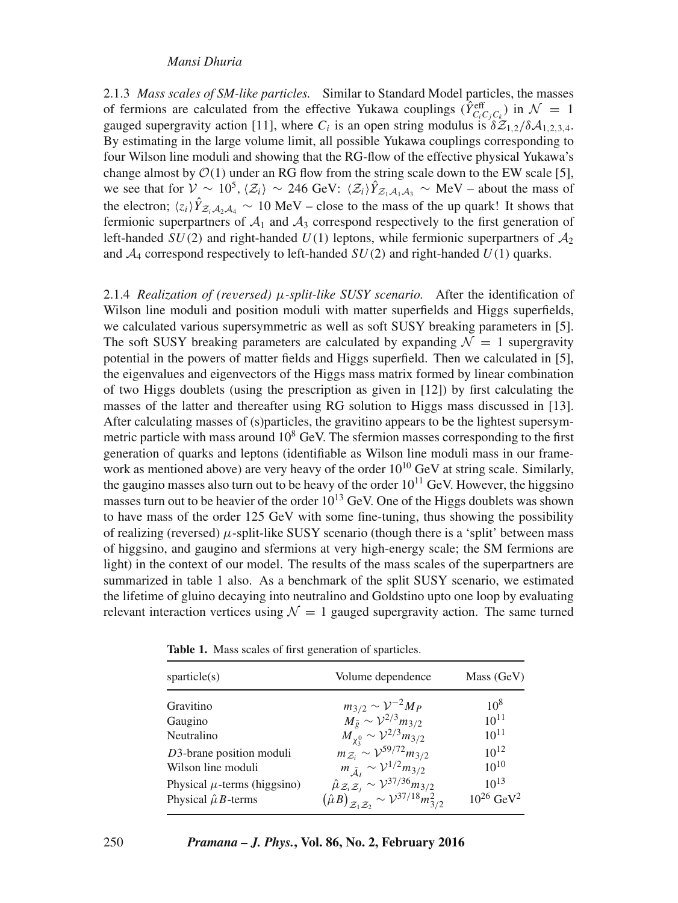### *Mansi Dhuria*

2.1.3 *Mass scales of SM-like particles.* Similar to Standard Model particles, the masses of fermions are calculated from the effective Yukawa couplings ( $\hat{Y}_{C_i C_j C_k}^{\text{eff}}$ ) in  $\mathcal{N} = 1$ gauged supergravity action [11], where  $C_i$  is an open string modulus is  $\delta \mathcal{Z}_{1,2}/\delta \mathcal{A}_{1,2,3,4}$ . By estimating in the large volume limit, all possible Yukawa couplings corresponding to four Wilson line moduli and showing that the RG-flow of the effective physical Yukawa's change almost by  $\mathcal{O}(1)$  under an RG flow from the string scale down to the EW scale [5], we see that for  $V \sim 10^5$ ,  $\langle Z_i \rangle \sim 246$  GeV:  $\langle Z_i \rangle \hat{Y}_{Z_1,A_1,A_3} \sim \text{MeV}$  – about the mass of the electron;  $\langle z_i \rangle \hat{Y}_{z_iA_2A_4} \sim 10 \text{ MeV}$  – close to the mass of the up quark! It shows that fermionic superpartners of  $A_1$  and  $A_3$  correspond respectively to the first generation of left-handed  $SU(2)$  and right-handed  $U(1)$  leptons, while fermionic superpartners of  $A_2$ and  $A_4$  correspond respectively to left-handed  $SU(2)$  and right-handed  $U(1)$  quarks.

2.1.4 *Realization of (re*v*ersed)* μ*-split-like SUSY scenario.* After the identification of Wilson line moduli and position moduli with matter superfields and Higgs superfields, we calculated various supersymmetric as well as soft SUSY breaking parameters in [5]. The soft SUSY breaking parameters are calculated by expanding  $\mathcal{N} = 1$  supergravity potential in the powers of matter fields and Higgs superfield. Then we calculated in [5], the eigenvalues and eigenvectors of the Higgs mass matrix formed by linear combination of two Higgs doublets (using the prescription as given in [12]) by first calculating the masses of the latter and thereafter using RG solution to Higgs mass discussed in [13]. After calculating masses of (s)particles, the gravitino appears to be the lightest supersymmetric particle with mass around  $10^8$  GeV. The sfermion masses corresponding to the first generation of quarks and leptons (identifiable as Wilson line moduli mass in our framework as mentioned above) are very heavy of the order  $10^{10}$  GeV at string scale. Similarly, the gaugino masses also turn out to be heavy of the order  $10^{11}$  GeV. However, the higgsino masses turn out to be heavier of the order  $10^{13}$  GeV. One of the Higgs doublets was shown to have mass of the order 125 GeV with some fine-tuning, thus showing the possibility of realizing (reversed)  $\mu$ -split-like SUSY scenario (though there is a 'split' between mass of higgsino, and gaugino and sfermions at very high-energy scale; the SM fermions are light) in the context of our model. The results of the mass scales of the superpartners are summarized in table 1 also. As a benchmark of the split SUSY scenario, we estimated the lifetime of gluino decaying into neutralino and Goldstino upto one loop by evaluating relevant interaction vertices using  $\mathcal{N} = 1$  gauged supergravity action. The same turned

| sparticle(s)                         | Volume dependence                                                                                                                                             | Mass (GeV)                 |
|--------------------------------------|---------------------------------------------------------------------------------------------------------------------------------------------------------------|----------------------------|
| Gravitino                            |                                                                                                                                                               | $10^{8}$                   |
| Gaugino                              | $m_{3/2} \sim V^{-2} M_P$<br>$M_{\tilde{g}} \sim V^{2/3} m_{3/2}$                                                                                             | $10^{11}$                  |
| Neutralino                           | $M_{\chi_2^0}^{\circ} \sim \mathcal{V}^{2/3} m_{3/2}^{\circ}$                                                                                                 | $10^{11}$                  |
| $D3$ -brane position moduli          | $m_{Z_i} \sim \mathcal{V}^{59/72} m_{3/2}$                                                                                                                    | $10^{12}$                  |
| Wilson line moduli                   | $m_{\tilde{A}_I} \sim \mathcal{V}^{1/2} m_{3/2}$                                                                                                              | $10^{10}$                  |
| Physical $\mu$ -terms (higgsino)     |                                                                                                                                                               | $10^{13}$                  |
| Physical $\hat{\mu}$ <i>B</i> -terms | $\hat{\mu}_{\mathcal{Z}_i \mathcal{Z}_j} \sim \mathcal{V}^{37/36} m_{3/2}$<br>$(\hat{\mu}B)_{\mathcal{Z}_1 \mathcal{Z}_2} \sim \mathcal{V}^{37/18} m_{3/2}^2$ | $10^{26}$ GeV <sup>2</sup> |

**Table 1.** Mass scales of first generation of sparticles.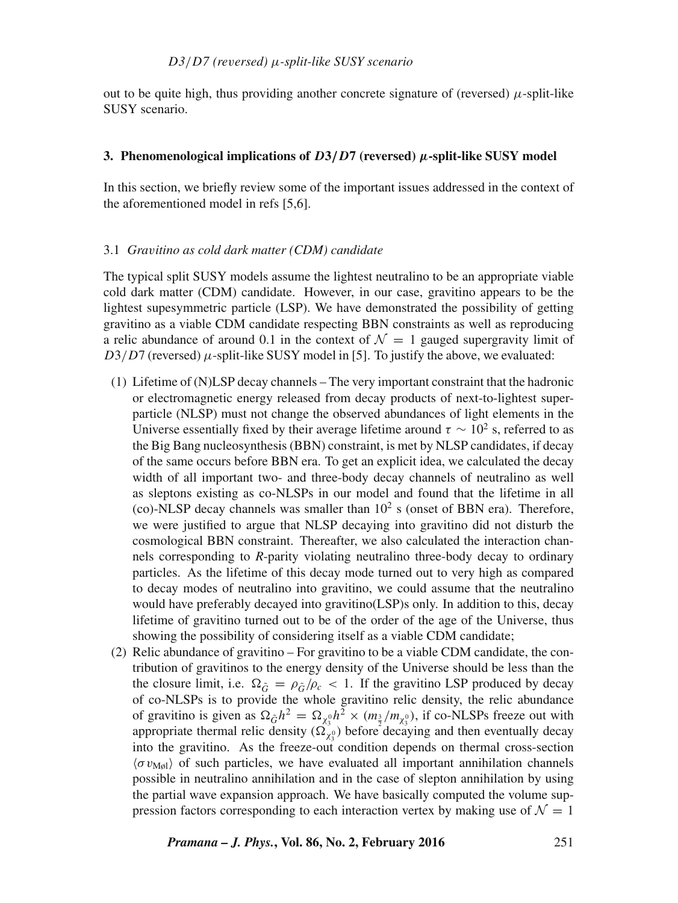out to be quite high, thus providing another concrete signature of (reversed)  $\mu$ -split-like SUSY scenario.

#### **3. Phenomenological implications of** D**3**/D**7 (reversed)** µ**-split-like SUSY model**

In this section, we briefly review some of the important issues addressed in the context of the aforementioned model in refs [5,6].

#### 3.1 *Gra*v*itino as cold dark matter (CDM) candidate*

The typical split SUSY models assume the lightest neutralino to be an appropriate viable cold dark matter (CDM) candidate. However, in our case, gravitino appears to be the lightest supesymmetric particle (LSP). We have demonstrated the possibility of getting gravitino as a viable CDM candidate respecting BBN constraints as well as reproducing a relic abundance of around 0.1 in the context of  $\mathcal{N} = 1$  gauged supergravity limit of  $D3/D7$  (reversed)  $\mu$ -split-like SUSY model in [5]. To justify the above, we evaluated:

- (1) Lifetime of (N)LSP decay channels The very important constraint that the hadronic or electromagnetic energy released from decay products of next-to-lightest superparticle (NLSP) must not change the observed abundances of light elements in the Universe essentially fixed by their average lifetime around  $\tau \sim 10^2$  s, referred to as the Big Bang nucleosynthesis (BBN) constraint, is met by NLSP candidates, if decay of the same occurs before BBN era. To get an explicit idea, we calculated the decay width of all important two- and three-body decay channels of neutralino as well as sleptons existing as co-NLSPs in our model and found that the lifetime in all (co)-NLSP decay channels was smaller than  $10^2$  s (onset of BBN era). Therefore, we were justified to argue that NLSP decaying into gravitino did not disturb the cosmological BBN constraint. Thereafter, we also calculated the interaction channels corresponding to *R*-parity violating neutralino three-body decay to ordinary particles. As the lifetime of this decay mode turned out to very high as compared to decay modes of neutralino into gravitino, we could assume that the neutralino would have preferably decayed into gravitino(LSP)s only. In addition to this, decay lifetime of gravitino turned out to be of the order of the age of the Universe, thus showing the possibility of considering itself as a viable CDM candidate;
- (2) Relic abundance of gravitino For gravitino to be a viable CDM candidate, the contribution of gravitinos to the energy density of the Universe should be less than the the closure limit, i.e.  $\Omega_{\tilde{G}} = \rho_{\tilde{G}}/\rho_c < 1$ . If the gravitino LSP produced by decay of co-NLSPs is to provide the whole gravitino relic density, the relic abundance of gravitino is given as  $\Omega_{\tilde{G}} h^2 = \Omega_{\chi_3^0} h^2 \times (m_{\frac{3}{2}}/m_{\chi_3^0})$ , if co-NLSPs freeze out with appropriate thermal relic density  $(\Omega_{\chi_3^0}^{\gamma_3})$  before decaying and then eventually decay into the gravitino. As the freeze-out condition depends on thermal cross-section  $\langle \sigma v_{\text{Møl}} \rangle$  of such particles, we have evaluated all important annihilation channels possible in neutralino annihilation and in the case of slepton annihilation by using the partial wave expansion approach. We have basically computed the volume suppression factors corresponding to each interaction vertex by making use of  $\mathcal{N} = 1$

*Pramana – J. Phys.***, Vol. 86, No. 2, February 2016** 251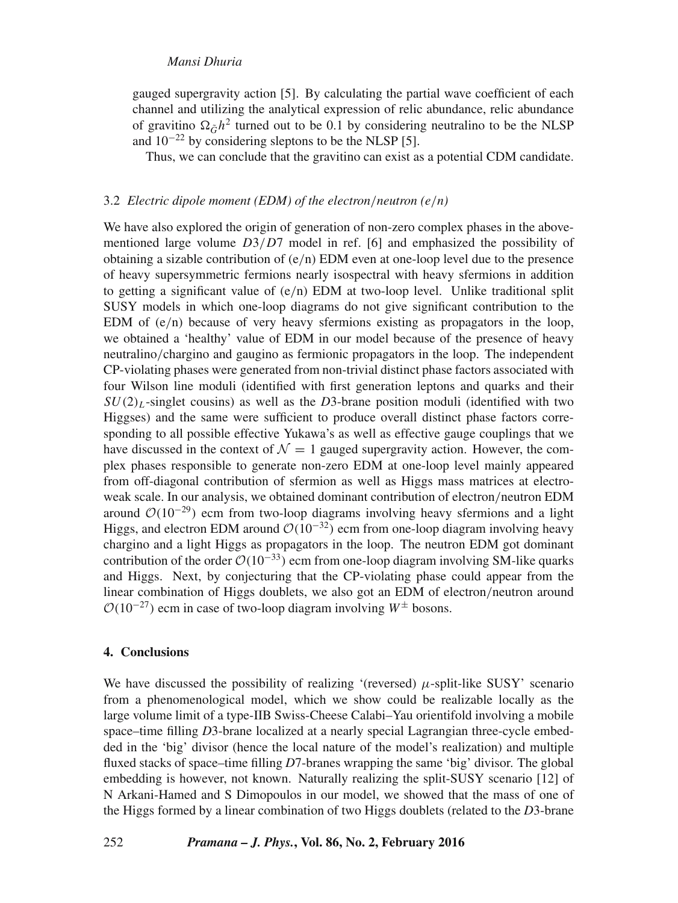#### *Mansi Dhuria*

gauged supergravity action [5]. By calculating the partial wave coefficient of each channel and utilizing the analytical expression of relic abundance, relic abundance of gravitino  $\Omega_{\tilde{G}}h^2$  turned out to be 0.1 by considering neutralino to be the NLSP and  $10^{-22}$  by considering sleptons to be the NLSP [5].

Thus, we can conclude that the gravitino can exist as a potential CDM candidate.

### 3.2 *Electric dipole moment (EDM) of the electron*/*neutron (e*/*n)*

We have also explored the origin of generation of non-zero complex phases in the abovementioned large volume  $D3/D7$  model in ref. [6] and emphasized the possibility of obtaining a sizable contribution of  $(e/n)$  EDM even at one-loop level due to the presence of heavy supersymmetric fermions nearly isospectral with heavy sfermions in addition to getting a significant value of  $(e/n)$  EDM at two-loop level. Unlike traditional split SUSY models in which one-loop diagrams do not give significant contribution to the EDM of  $(e/n)$  because of very heavy sfermions existing as propagators in the loop, we obtained a 'healthy' value of EDM in our model because of the presence of heavy neutralino/chargino and gaugino as fermionic propagators in the loop. The independent CP-violating phases were generated from non-trivial distinct phase factors associated with four Wilson line moduli (identified with first generation leptons and quarks and their  $SU(2)_L$ -singlet cousins) as well as the *D*3-brane position moduli (identified with two Higgses) and the same were sufficient to produce overall distinct phase factors corresponding to all possible effective Yukawa's as well as effective gauge couplings that we have discussed in the context of  $\mathcal{N} = 1$  gauged supergravity action. However, the complex phases responsible to generate non-zero EDM at one-loop level mainly appeared from off-diagonal contribution of sfermion as well as Higgs mass matrices at electroweak scale. In our analysis, we obtained dominant contribution of electron/neutron EDM around  $O(10^{-29})$  ecm from two-loop diagrams involving heavy sfermions and a light Higgs, and electron EDM around  $O(10^{-32})$  ecm from one-loop diagram involving heavy chargino and a light Higgs as propagators in the loop. The neutron EDM got dominant contribution of the order  $O(10^{-33})$  ecm from one-loop diagram involving SM-like quarks and Higgs. Next, by conjecturing that the CP-violating phase could appear from the linear combination of Higgs doublets, we also got an EDM of electron/neutron around  $\mathcal{O}(10^{-27})$  ecm in case of two-loop diagram involving  $W^{\pm}$  bosons.

#### **4. Conclusions**

We have discussed the possibility of realizing '(reversed)  $\mu$ -split-like SUSY' scenario from a phenomenological model, which we show could be realizable locally as the large volume limit of a type-IIB Swiss-Cheese Calabi–Yau orientifold involving a mobile space–time filling *D*3-brane localized at a nearly special Lagrangian three-cycle embedded in the 'big' divisor (hence the local nature of the model's realization) and multiple fluxed stacks of space–time filling *D*7-branes wrapping the same 'big' divisor. The global embedding is however, not known. Naturally realizing the split-SUSY scenario [12] of N Arkani-Hamed and S Dimopoulos in our model, we showed that the mass of one of the Higgs formed by a linear combination of two Higgs doublets (related to the *D*3-brane